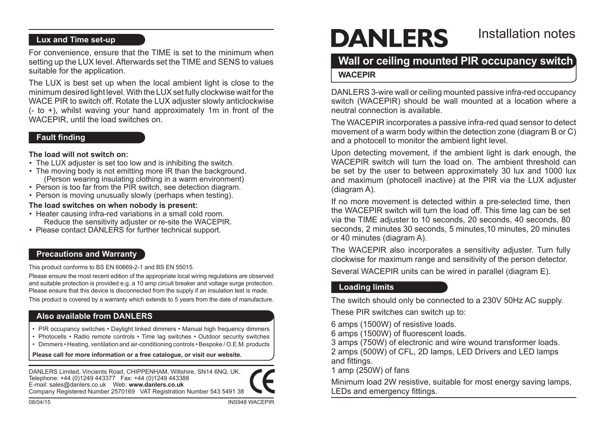# **Lux and Time set-up**

For convenience, ensure that the TIME is set to the minimum when setting up the LUX level.Afterwards set the TIME and SENS to values suitable for the application.

The LUX is best set up when the local ambient light is close to the minimum desired light level. With the LUX set fully clockwise wait for the WACE PIR to switch off. Rotate the LUX adjuster slowly anticlockwise (- to +), whilst waving your hand approximately 1m in front of the WACEPIR, until the load switches on.

### **Fault finding**

#### **The load will not switch on:**

- The LUX adjuster is set too low and is inhibiting the switch.
- The moving body is not emitting more IR than the background. (Person wearing insulating clothing in a warm environment)
- Person is too far from the PIR switch, see detection diagram.
- Person is moving unusually slowly (perhaps when testing).

### **The load switches on when nobody is present:**

- Heater causing infra-red variations in a small cold room. Reduce the sensitivity adjuster or re-site the WACEPIR.
- Please contact DANLERS for further technical support.

### **Precautions and Warranty**

This product conforms to BS EN 60669-2-1 and BS EN 55015.

Please ensure the most recent edition of the appropriate local wiring regulations are observed and suitable protection is provided e.g. a 10 amp circuit breaker and voltage surge protection. Please ensure that this device is disconnected from the supply if an insulation test is made.

This product is covered by a warranty which extends to 5 years from the date of manufacture.

# **Also available from DANLERS**

- PIR occupancy switches Daylight linked dimmers Manual high frequency dimmers
- Photocells Radio remote controls Time lag switches Outdoor security switches
- • Dimmers Heating, ventilation and air-conditioning controls Bespoke / O.E.M. products

**Please call for more information or a free catalogue, or visit our website.** 

DANLERS Limited, Vincients Road, CHIPPENHAM, Wiltshire, SN14 6NQ, UK. Telephone: +44 (0)1249 443377 Fax: +44 (0)1249 443388 E-mail: sales@danlers.co.uk Web: **www.danlers.co.uk** Company Registered Number 2570169 VAT Registration Number 543 5491 38



# **DANLERS**

# Installation notes

# **Wall or ceiling mounted PIR occupancy switch**

# **WACEPIR**

DANLERS 3-wire wall or ceiling mounted passive infra-red occupancy switch (WACEPIR) should be wall mounted at a location where a neutral connection is available.

The WACEPIR incorporates a passive infra-red quad sensor to detect movement of a warm body within the detection zone (diagram B or C) and a photocell to monitor the ambient light level.

Upon detecting movement, if the ambient light is dark enough, the WACEPIR switch will turn the load on. The ambient threshold can be set by the user to between approximately 30 lux and 1000 lux and maximum (photocell inactive) at the PIR via the LUX adjuster (diagram A).

If no more movement is detected within a pre-selected time, then the WACEPIR switch will turn the load off. This time lag can be set via the TIME adjuster to 10 seconds, 20 seconds, 40 seconds, 80 seconds, 2 minutes 30 seconds, 5 minutes, 10 minutes, 20 minutes or 40 minutes (diagram A).

The WACEPIR also incorporates a sensitivity adjuster. Turn fully clockwise for maximum range and sensitivity of the person detector.

Several WACEPIR units can be wired in parallel (diagram E).

# **Loading limits**

The switch should only be connected to a 230V 50Hz AC supply.

These PIR switches can switch up to:

6 amps (1500W) of resistive loads.

6 amps (1500W) of fluorescent loads.

3 amps (750W) of electronic and wire wound transformer loads.

2 amps (500W) of CFL, 2D lamps, LED Drivers and LED lamps and fittings.

1 amp (250W) of fans

Minimum load 2W resistive, suitable for most energy saving lamps, LEDs and emergency fittings.